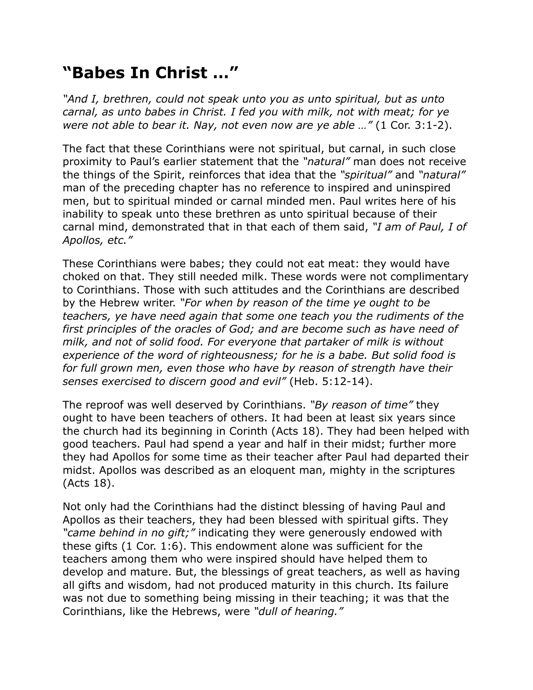## **"Babes In Christ …"**

*"And I, brethren, could not speak unto you as unto spiritual, but as unto carnal, as unto babes in Christ. I fed you with milk, not with meat; for ye were not able to bear it. Nay, not even now are ye able …"* (1 Cor. 3:1-2).

The fact that these Corinthians were not spiritual, but carnal, in such close proximity to Paul's earlier statement that the *"natural"* man does not receive the things of the Spirit, reinforces that idea that the *"spiritual"* and *"natural"* man of the preceding chapter has no reference to inspired and uninspired men, but to spiritual minded or carnal minded men. Paul writes here of his inability to speak unto these brethren as unto spiritual because of their carnal mind, demonstrated that in that each of them said, *"I am of Paul, I of Apollos, etc."*

These Corinthians were babes; they could not eat meat: they would have choked on that. They still needed milk. These words were not complimentary to Corinthians. Those with such attitudes and the Corinthians are described by the Hebrew writer. *"For when by reason of the time ye ought to be teachers, ye have need again that some one teach you the rudiments of the first principles of the oracles of God; and are become such as have need of milk, and not of solid food. For everyone that partaker of milk is without experience of the word of righteousness; for he is a babe. But solid food is for full grown men, even those who have by reason of strength have their senses exercised to discern good and evil"* (Heb. 5:12-14).

The reproof was well deserved by Corinthians. *"By reason of time"* they ought to have been teachers of others. It had been at least six years since the church had its beginning in Corinth (Acts 18). They had been helped with good teachers. Paul had spend a year and half in their midst; further more they had Apollos for some time as their teacher after Paul had departed their midst. Apollos was described as an eloquent man, mighty in the scriptures (Acts 18).

Not only had the Corinthians had the distinct blessing of having Paul and Apollos as their teachers, they had been blessed with spiritual gifts. They *"came behind in no gift;"* indicating they were generously endowed with these gifts (1 Cor. 1:6). This endowment alone was sufficient for the teachers among them who were inspired should have helped them to develop and mature. But, the blessings of great teachers, as well as having all gifts and wisdom, had not produced maturity in this church. Its failure was not due to something being missing in their teaching; it was that the Corinthians, like the Hebrews, were *"dull of hearing."*